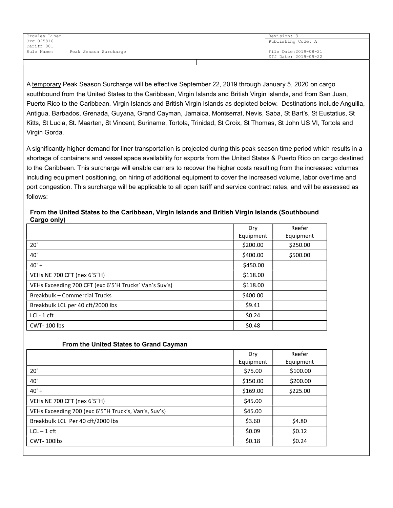| Crowley Liner |                       | Revision: 3           |
|---------------|-----------------------|-----------------------|
| Org 025816    |                       | Publishing Code: A    |
| Tariff 001    |                       |                       |
| Rule Name:    | Peak Season Surcharge | File Date: 2019-08-21 |
|               |                       | Eff Date: 2019-09-22  |
|               |                       |                       |

A temporary Peak Season Surcharge will be effective September 22, 2019 through January 5, 2020 on cargo southbound from the United States to the Caribbean, Virgin Islands and British Virgin Islands, and from San Juan, Puerto Rico to the Caribbean, Virgin Islands and British Virgin Islands as depicted below. Destinations include Anguilla, Antigua, Barbados, Grenada, Guyana, Grand Cayman, Jamaica, Montserrat, Nevis, Saba, St Bart's, St Eustatius, St Kitts, St Lucia, St. Maarten, St Vincent, Suriname, Tortola, Trinidad, St Croix, St Thomas, St John US VI, Tortola and Virgin Gorda.

A significantly higher demand for liner transportation is projected during this peak season time period which results in a shortage of containers and vessel space availability for exports from the United States & Puerto Rico on cargo destined to the Caribbean. This surcharge will enable carriers to recover the higher costs resulting from the increased volumes including equipment positioning, on hiring of additional equipment to cover the increased volume, labor overtime and port congestion. This surcharge will be applicable to all open tariff and service contract rates, and will be assessed as follows:

| . .<br>.                                               | Dry<br>Equipment | Reefer<br>Equipment |
|--------------------------------------------------------|------------------|---------------------|
| 20'                                                    | \$200.00         | \$250.00            |
| 40'                                                    | \$400.00         | \$500.00            |
| $40' +$                                                | \$450.00         |                     |
| VEHs NE 700 CFT (nex 6'5"H)                            | \$118.00         |                     |
| VEHs Exceeding 700 CFT (exc 6'5'H Trucks' Van's Suv's) | \$118.00         |                     |
| <b>Breakbulk - Commercial Trucks</b>                   | \$400.00         |                     |
| Breakbulk LCL per 40 cft/2000 lbs                      | \$9.41           |                     |
| $LCL-1$ cft                                            | \$0.24           |                     |
| CWT-100 lbs                                            | \$0.48           |                     |

## From the United States to the Caribbean, Virgin Islands and British Virgin Islands (Southbound Cargo only)

## From the United States to Grand Cayman

|                                                      | Dry       | Reefer    |
|------------------------------------------------------|-----------|-----------|
|                                                      | Equipment | Equipment |
| 20'                                                  | \$75.00   | \$100.00  |
| 40'                                                  | \$150.00  | \$200.00  |
| $40' +$                                              | \$169.00  | \$225.00  |
| VEHs NE 700 CFT (nex 6'5"H)                          | \$45.00   |           |
| VEHs Exceeding 700 (exc 6'5"H Truck's, Van's, Suv's) | \$45.00   |           |
| Breakbulk LCL Per 40 cft/2000 lbs                    | \$3.60    | \$4.80    |
| $LCL - 1$ cft                                        | \$0.09    | \$0.12    |
| CWT-100lbs                                           | \$0.18    | \$0.24    |